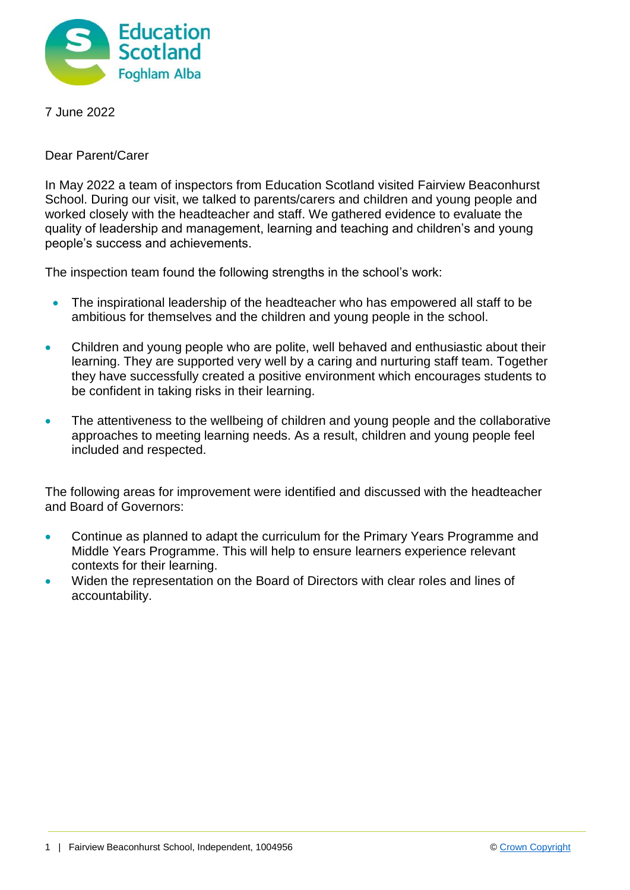

7 June 2022

Dear Parent/Carer

In May 2022 a team of inspectors from Education Scotland visited Fairview Beaconhurst School. During our visit, we talked to parents/carers and children and young people and worked closely with the headteacher and staff. We gathered evidence to evaluate the quality of leadership and management, learning and teaching and children's and young people's success and achievements.

The inspection team found the following strengths in the school's work:

- The inspirational leadership of the headteacher who has empowered all staff to be ambitious for themselves and the children and young people in the school.
- Children and young people who are polite, well behaved and enthusiastic about their learning. They are supported very well by a caring and nurturing staff team. Together they have successfully created a positive environment which encourages students to be confident in taking risks in their learning.
- The attentiveness to the wellbeing of children and young people and the collaborative approaches to meeting learning needs. As a result, children and young people feel included and respected.

The following areas for improvement were identified and discussed with the headteacher and Board of Governors:

- Continue as planned to adapt the curriculum for the Primary Years Programme and Middle Years Programme. This will help to ensure learners experience relevant contexts for their learning.
- Widen the representation on the Board of Directors with clear roles and lines of accountability.